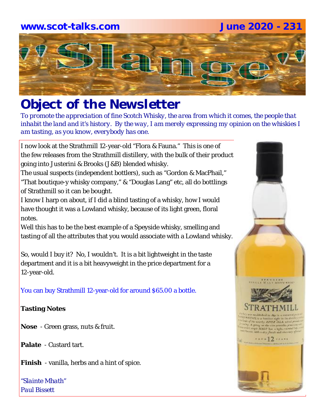

# *Object of the Newsletter*

*To promote the appreciation of fine Scotch Whisky, the area from which it comes, the people that inhabit the land and it's history. By the way, I am merely expressing my opinion on the whiskies I am tasting, as you know, everybody has one.* 

I now look at the Strathmill 12-year-old "Flora & Fauna." This is one of the few releases from the Strathmill distillery, with the bulk of their product going into Justerini & Brooks (J&B) blended whisky.

The usual suspects (independent bottlers), such as "Gordon & MacPhail," "That boutique-y whisky company," & "Douglas Lang" etc, all do bottlings of Strathmill so it can be bought.

I know I harp on about, if I did a blind tasting of a whisky, how I would have thought it was a Lowland whisky, because of its light green, floral notes.

Well this has to be the best example of a Speyside whisky, smelling and tasting of all the attributes that you would associate with a Lowland whisky.

So, would I buy it? No, I wouldn't. It is a bit lightweight in the taste department and it is a bit heavyweight in the price department for a 12-year-old.

You can buy Strathmill 12-year-old for around \$65.00 a bottle.

#### **Tasting Notes**

**Nose** - Green grass, nuts & fruit.

**Palate** - Custard tart.

**Finish** - vanilla, herbs and a hint of spice.

*"Slainte Mhath" Paul Bissett*

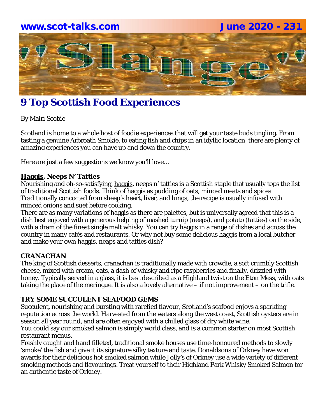# **www.scot-talks.com June 2020 - 231**Latin

## **9 Top Scottish Food Experiences**

By Mairi Scobie

Scotland is home to a whole host of foodie experiences that will get your taste buds tingling. From tasting a genuine Arbroath Smokie, to eating fish and chips in an idyllic location, there are plenty of amazing experiences you can have up and down the country.

Here are just a few suggestions we know you'll love…

#### **Haggis, Neeps N' Tatties**

Nourishing and oh-so-satisfying, haggis, neeps n' tatties is a Scottish staple that usually tops the list of traditional Scottish foods. Think of haggis as pudding of oats, minced meats and spices. Traditionally concocted from sheep's heart, liver, and lungs, the recipe is usually infused with minced onions and suet before cooking.

There are as many variations of haggis as there are palettes, but is universally agreed that this is a dish best enjoyed with a generous helping of mashed turnip (neeps), and potato (tatties) on the side, with a dram of the finest single malt whisky. You can try haggis in a range of dishes and across the country in many cafés and restaurants. Or why not buy some delicious haggis from a local butcher and make your own haggis, neaps and tatties dish?

#### **CRANACHAN**

The king of Scottish desserts, cranachan is traditionally made with crowdie, a soft crumbly Scottish cheese, mixed with cream, oats, a dash of whisky and ripe raspberries and finally, drizzled with honey. Typically served in a glass, it is best described as a Highland twist on the Eton Mess, with oats taking the place of the meringue. It is also a lovely alternative – if not improvement – on the trifle.

#### **TRY SOME SUCCULENT SEAFOOD GEMS**

Succulent, nourishing and bursting with rarefied flavour, Scotland's seafood enjoys a sparkling reputation across the world. Harvested from the waters along the west coast, Scottish oysters are in season all year round, and are often enjoyed with a chilled glass of dry white wine.

You could say our smoked salmon is simply world class, and is a common starter on most Scottish restaurant menus.

Freshly caught and hand filleted, traditional smoke houses use time-honoured methods to slowly 'smoke' the fish and give it its signature silky texture and taste. Donaldsons of Orkney have won awards for their delicious hot smoked salmon while Jolly's of Orkney use a wide variety of different smoking methods and flavourings. Treat yourself to their Highland Park Whisky Smoked Salmon for an authentic taste of Orkney.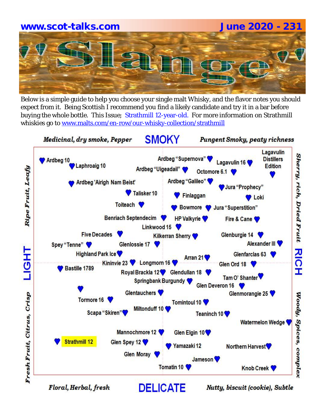Below is a simple guide to help you choose your single malt Whisky, and the flavor notes you should expect from it. Being Scottish I recommend you find a likely candidate and try it in a bar before buying the whole bottle. This Issue; Strathmill 12-year-old. For more information on Strathmill whiskies go to www.malts.com/en-row/our-whisky-collection/strathmill

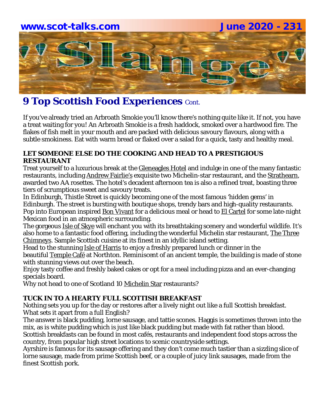# **www.scot-talks.com June 2020 - 231** lay

### **9 Top Scottish Food Experiences Cont.**

If you've already tried an Arbroath Smokie you'll know there's nothing quite like it. If not, you have a treat waiting for you! An Arbroath Smokie is a fresh haddock, smoked over a hardwood fire. The flakes of fish melt in your mouth and are packed with delicious savoury flavours, along with a subtle smokiness. Eat with warm bread or flaked over a salad for a quick, tasty and healthy meal.

#### **LET SOMEONE ELSE DO THE COOKING AND HEAD TO A PRESTIGIOUS RESTAURANT**

Treat yourself to a luxurious break at the Gleneagles Hotel and indulge in one of the many fantastic restaurants, including Andrew Fairlie's exquisite two Michelin-star restaurant, and the Strathearn, awarded two AA rosettes. The hotel's decadent afternoon tea is also a refined treat, boasting three tiers of scrumptious sweet and savoury treats.

In Edinburgh, Thistle Street is quickly becoming one of the most famous 'hidden gems' in Edinburgh. The street is bursting with boutique shops, trendy bars and high-quality restaurants. Pop into European inspired Bon Vivant for a delicious meal or head to El Cartel for some late-night Mexican food in an atmospheric surrounding.

The gorgeous Isle of Skye will enchant you with its breathtaking scenery and wonderful wildlife. It's also home to a fantastic food offering, including the wonderful Michelin star restaurant, The Three Chimneys. Sample Scottish cuisine at its finest in an idyllic island setting.

Head to the stunning *Isle of Harris* to enjoy a freshly prepared lunch or dinner in the beautiful Temple Café at Northton. Reminiscent of an ancient temple, the building is made of stone with stunning views out over the beach.

Enjoy tasty coffee and freshly baked cakes or opt for a meal including pizza and an ever-changing specials board.

Why not head to one of Scotland 10 Michelin Star restaurants?

#### **TUCK IN TO A HEARTY FULL SCOTTISH BREAKFAST**

Nothing sets you up for the day or restores after a lively night out like a full Scottish breakfast. What sets it apart from a full English?

The answer is black pudding, lorne sausage, and tattie scones. Haggis is sometimes thrown into the mix, as is white pudding which is just like black pudding but made with fat rather than blood. Scottish breakfasts can be found in most cafés, restaurants and independent food stops across the country, from popular high street locations to scenic countryside settings.

Ayrshire is famous for its sausage offering and they don't come much tastier than a sizzling slice of lorne sausage, made from prime Scottish beef, or a couple of juicy link sausages, made from the finest Scottish pork.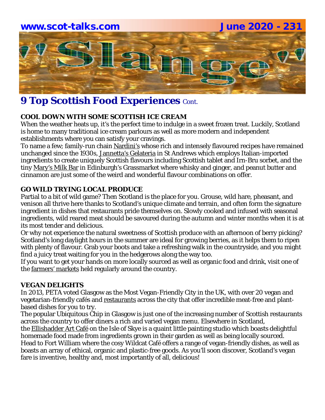### **9 Top Scottish Food Experiences Cont.**

#### **COOL DOWN WITH SOME SCOTTISH ICE CREAM**

When the weather heats up, it's the perfect time to indulge in a sweet frozen treat. Luckily, Scotland is home to many traditional ice cream parlours as well as more modern and independent establishments where you can satisfy your cravings.

To name a few; family-run chain Nardini's whose rich and intensely flavoured recipes have remained unchanged since the 1930s, Jannetta's Gelateria in St Andrews which employs Italian-imported ingredients to create uniquely Scottish flavours including Scottish tablet and Irn-Bru sorbet, and the tiny Mary's Milk Bar in Edinburgh's Grassmarket where whisky and ginger, and peanut butter and cinnamon are just some of the weird and wonderful flavour combinations on offer.

#### **GO WILD TRYING LOCAL PRODUCE**

Partial to a bit of wild game? Then Scotland is the place for you. Grouse, wild hare, pheasant, and venison all thrive here thanks to Scotland's unique climate and terrain, and often form the signature ingredient in dishes that restaurants pride themselves on. Slowly cooked and infused with seasonal ingredients, wild reared meat should be savoured during the autumn and winter months when it is at its most tender and delicious.

Or why not experience the natural sweetness of Scottish produce with an afternoon of berry picking? Scotland's long daylight hours in the summer are ideal for growing berries, as it helps them to ripen with plenty of flavour. Grab your boots and take a refreshing walk in the countryside, and you might find a juicy treat waiting for you in the hedgerows along the way too.

If you want to get your hands on more locally sourced as well as organic food and drink, visit one of the farmers' markets held regularly around the country.

#### **VEGAN DELIGHTS**

In 2013, PETA voted Glasgow as the Most Vegan-Friendly City in the UK, with over 20 vegan and vegetarian-friendly cafés and restaurants across the city that offer incredible meat-free and plantbased dishes for you to try.

The popular Ubiquitous Chip in Glasgow is just one of the increasing number of Scottish restaurants across the country to offer diners a rich and varied vegan menu. Elsewhere in Scotland,

the Ellishadder Art Café on the Isle of Skye is a quaint little painting studio which boasts delightful homemade food made from ingredients grown in their garden as well as being locally sourced.

Head to Fort William where the cosy Wildcat Café offers a range of vegan-friendly dishes, as well as boasts an array of ethical, organic and plastic-free goods. As you'll soon discover, Scotland's vegan fare is inventive, healthy and, most importantly of all, delicious!